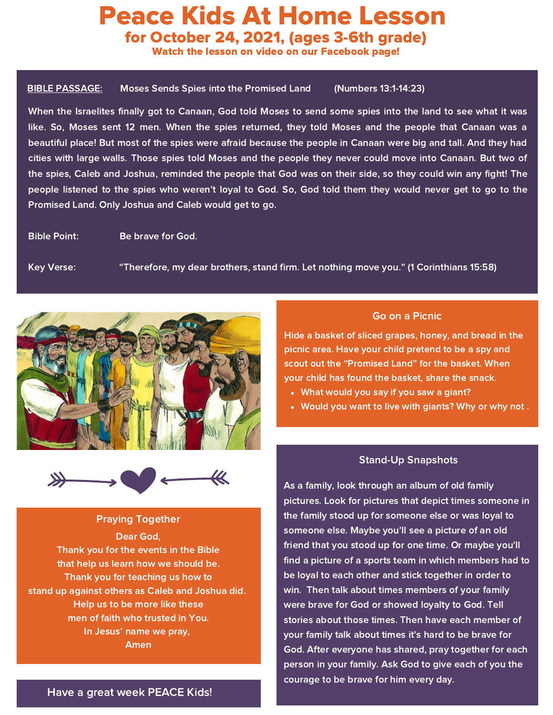# Peace Kids At Home Lesson for October 24, 2021, (ages 3-6th grade)

Watch the lesson on video on our Facebook page!

### BIBLE PASSAGE: Moses Sends Spies into the Promised Land (Numbers 13:1-14:23)

When the Israelites finally got to Canaan, God told Moses to send some spies into the land to see what it was like. So, Moses sent 12 men. When the spies returned, they told Moses and the people that Canaan was a beautiful place! But most of the spies were afraid because the people in Canaan were big and tall. And they had cities with large walls. Those spies told Moses and the people they never could move into Canaan. But two of the spies, Caleb and Joshua, reminded the people that God was on their side, so they could win any fight! The people listened to the spies who weren't loyal to God. So, God told them they would never get to go to the Promised Land. Only Joshua and Caleb would get to go.

Bible Point: Be brave for God.

Key Verse: "Therefore, my dear brothers, stand firm. Let nothing move you." (1 Corinthians 15:58)





### Praying Together

Dear God, Thank you for the events in the Bible that help us learn how we should be. Thank you for teaching us how to stand up against others as Caleb and Joshua did. Help us to be more like these men of faith who trusted in You. In Jesus' name we pray, Amen

### Go on a Picnic

Hide a basket of sliced grapes, honey, and bread in the picnic area. Have your child pretend to be a spy and scout out the "Promised Land" for the basket. When your child has found the basket, share the snack.

- What would you say if you saw a giant?
- Would you want to live with giants? Why or why not .

### Stand-Up Snapshots

As a family, look through an album of old family pictures. Look for pictures that depict times someone in the family stood up for someone else or was loyal to someone else. Maybe you'll see a picture of an old friend that you stood up for one time. Or maybe you'll find a picture of a sports team in which members had to be loyal to each other and stick together in order to win. Then talk about times members of your family were brave for God or showed loyalty to God. Tell stories about those times. Then have each member of your family talk about times it's hard to be brave for God. After everyone has shared, pray together for each person in your family. Ask God to give each of you the courage to be brave for him every day.

### Have a great week PEACE Kids!